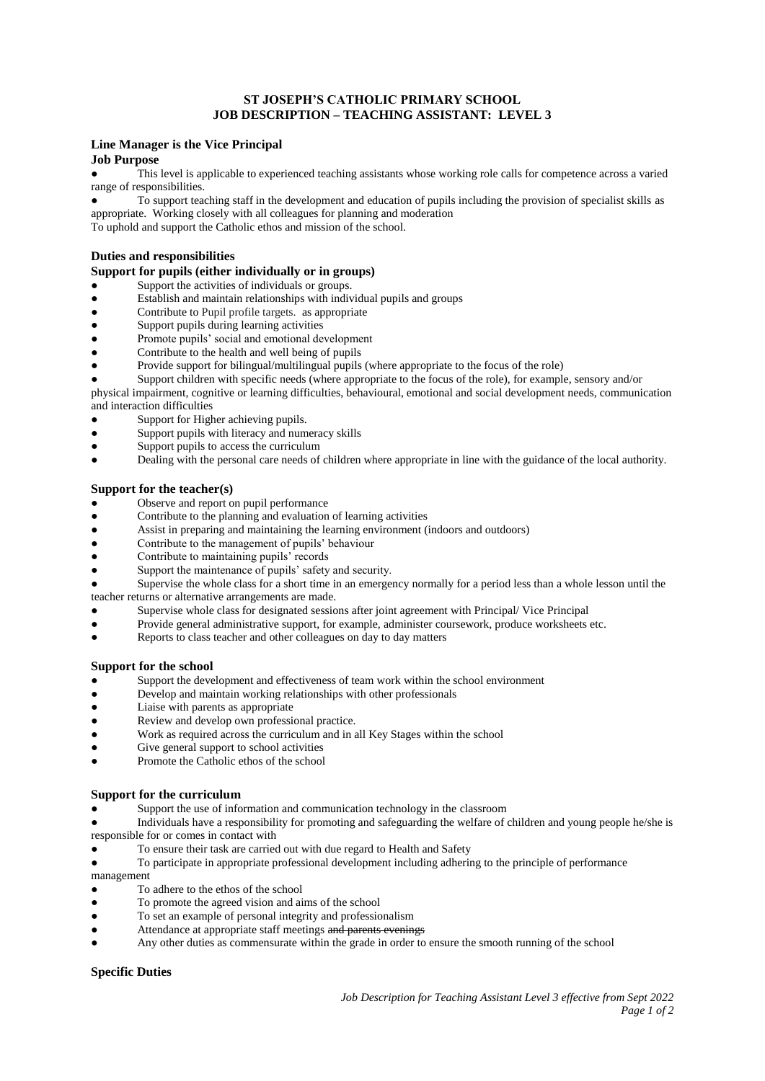# **ST JOSEPH'S CATHOLIC PRIMARY SCHOOL JOB DESCRIPTION – TEACHING ASSISTANT: LEVEL 3**

#### **Line Manager is the Vice Principal**

# **Job Purpose**

This level is applicable to experienced teaching assistants whose working role calls for competence across a varied range of responsibilities.

To support teaching staff in the development and education of pupils including the provision of specialist skills as appropriate. Working closely with all colleagues for planning and moderation

To uphold and support the Catholic ethos and mission of the school.

#### **Duties and responsibilities**

### **Support for pupils (either individually or in groups)**

- Support the activities of individuals or groups.
- Establish and maintain relationships with individual pupils and groups
- Contribute to Pupil profile targets. as appropriate
- Support pupils during learning activities
- Promote pupils' social and emotional development
- Contribute to the health and well being of pupils
- Provide support for bilingual/multilingual pupils (where appropriate to the focus of the role)
- Support children with specific needs (where appropriate to the focus of the role), for example, sensory and/or physical impairment, cognitive or learning difficulties, behavioural, emotional and social development needs, communication
- and interaction difficulties
- Support for Higher achieving pupils.
- Support pupils with literacy and numeracy skills
- Support pupils to access the curriculum
- Dealing with the personal care needs of children where appropriate in line with the guidance of the local authority.

#### **Support for the teacher(s)**

- Observe and report on pupil performance
- Contribute to the planning and evaluation of learning activities
- Assist in preparing and maintaining the learning environment (indoors and outdoors)<br>● Contribute to the management of pupils' behaviour
- Contribute to the management of pupils' behaviour
- Contribute to maintaining pupils' records
- Support the maintenance of pupils' safety and security.

Supervise the whole class for a short time in an emergency normally for a period less than a whole lesson until the teacher returns or alternative arrangements are made.

- Supervise whole class for designated sessions after joint agreement with Principal/ Vice Principal
- Provide general administrative support, for example, administer coursework, produce worksheets etc.
- Reports to class teacher and other colleagues on day to day matters

## **Support for the school**

- Support the development and effectiveness of team work within the school environment
- Develop and maintain working relationships with other professionals
- Liaise with parents as appropriate
- Review and develop own professional practice.
- Work as required across the curriculum and in all Key Stages within the school
- Give general support to school activities
- Promote the Catholic ethos of the school

## **Support for the curriculum**

- Support the use of information and communication technology in the classroom
- Individuals have a responsibility for promoting and safeguarding the welfare of children and young people he/she is responsible for or comes in contact with
- To ensure their task are carried out with due regard to Health and Safety
- To participate in appropriate professional development including adhering to the principle of performance management
- To adhere to the ethos of the school
- To promote the agreed vision and aims of the school
- To set an example of personal integrity and professionalism
- Attendance at appropriate staff meetings and parents evenings
- Any other duties as commensurate within the grade in order to ensure the smooth running of the school

## **Specific Duties**